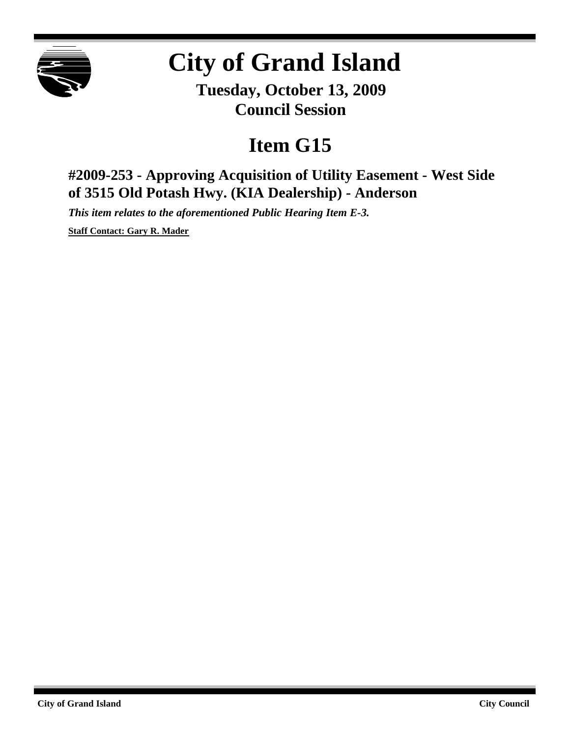

## **City of Grand Island**

**Tuesday, October 13, 2009 Council Session**

## **Item G15**

**#2009-253 - Approving Acquisition of Utility Easement - West Side of 3515 Old Potash Hwy. (KIA Dealership) - Anderson**

*This item relates to the aforementioned Public Hearing Item E-3.*

**Staff Contact: Gary R. Mader**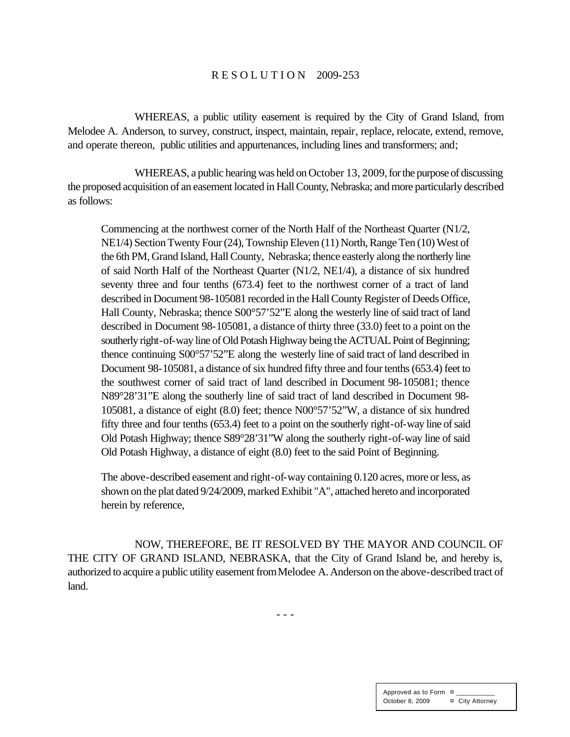## R E S O L U T I O N 2009-253

WHEREAS, a public utility easement is required by the City of Grand Island, from Melodee A. Anderson, to survey, construct, inspect, maintain, repair, replace, relocate, extend, remove, and operate thereon, public utilities and appurtenances, including lines and transformers; and;

WHEREAS, a public hearing was held on October 13, 2009, for the purpose of discussing the proposed acquisition of an easement located in Hall County, Nebraska; and more particularly described as follows:

Commencing at the northwest corner of the North Half of the Northeast Quarter (N1/2, NE1/4) Section Twenty Four (24), Township Eleven (11) North, Range Ten (10) West of the 6th PM, Grand Island, Hall County, Nebraska; thence easterly along the northerly line of said North Half of the Northeast Quarter (N1/2, NE1/4), a distance of six hundred seventy three and four tenths (673.4) feet to the northwest corner of a tract of land described in Document 98-105081 recorded in the Hall County Register of Deeds Office, Hall County, Nebraska; thence S00°57'52"E along the westerly line of said tract of land described in Document 98-105081, a distance of thirty three (33.0) feet to a point on the southerly right-of-way line of Old Potash Highway being the ACTUAL Point of Beginning; thence continuing S00°57'52"E along the westerly line of said tract of land described in Document 98-105081, a distance of six hundred fifty three and four tenths (653.4) feet to the southwest corner of said tract of land described in Document 98-105081; thence N89°28'31"E along the southerly line of said tract of land described in Document 98- 105081, a distance of eight (8.0) feet; thence N00°57'52"W, a distance of six hundred fifty three and four tenths (653.4) feet to a point on the southerly right-of-way line of said Old Potash Highway; thence S89°28'31"W along the southerly right-of-way line of said Old Potash Highway, a distance of eight (8.0) feet to the said Point of Beginning.

The above-described easement and right-of-way containing 0.120 acres, more or less, as shown on the plat dated 9/24/2009, marked Exhibit "A", attached hereto and incorporated herein by reference,

NOW, THEREFORE, BE IT RESOLVED BY THE MAYOR AND COUNCIL OF THE CITY OF GRAND ISLAND, NEBRASKA, that the City of Grand Island be, and hereby is, authorized to acquire a public utility easement fromMelodee A. Anderson on the above-described tract of land.

- - -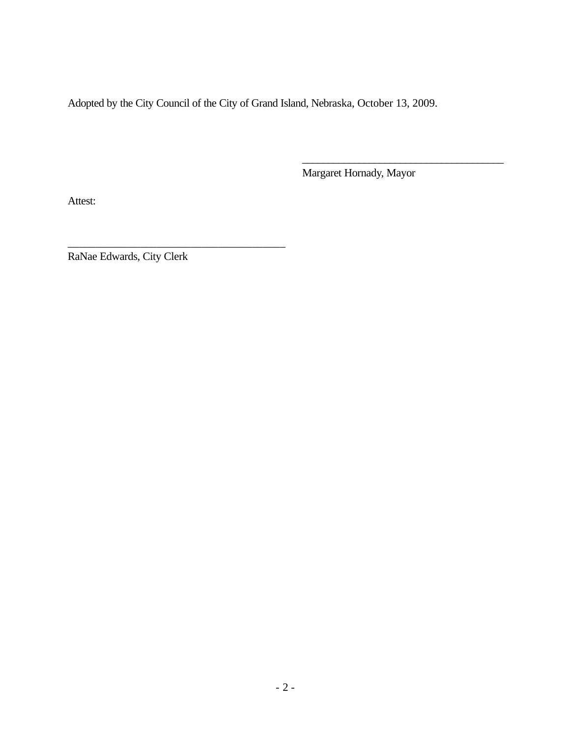Adopted by the City Council of the City of Grand Island, Nebraska, October 13, 2009.

Margaret Hornady, Mayor

\_\_\_\_\_\_\_\_\_\_\_\_\_\_\_\_\_\_\_\_\_\_\_\_\_\_\_\_\_\_\_\_\_\_\_\_\_\_\_

Attest:

RaNae Edwards, City Clerk

\_\_\_\_\_\_\_\_\_\_\_\_\_\_\_\_\_\_\_\_\_\_\_\_\_\_\_\_\_\_\_\_\_\_\_\_\_\_\_